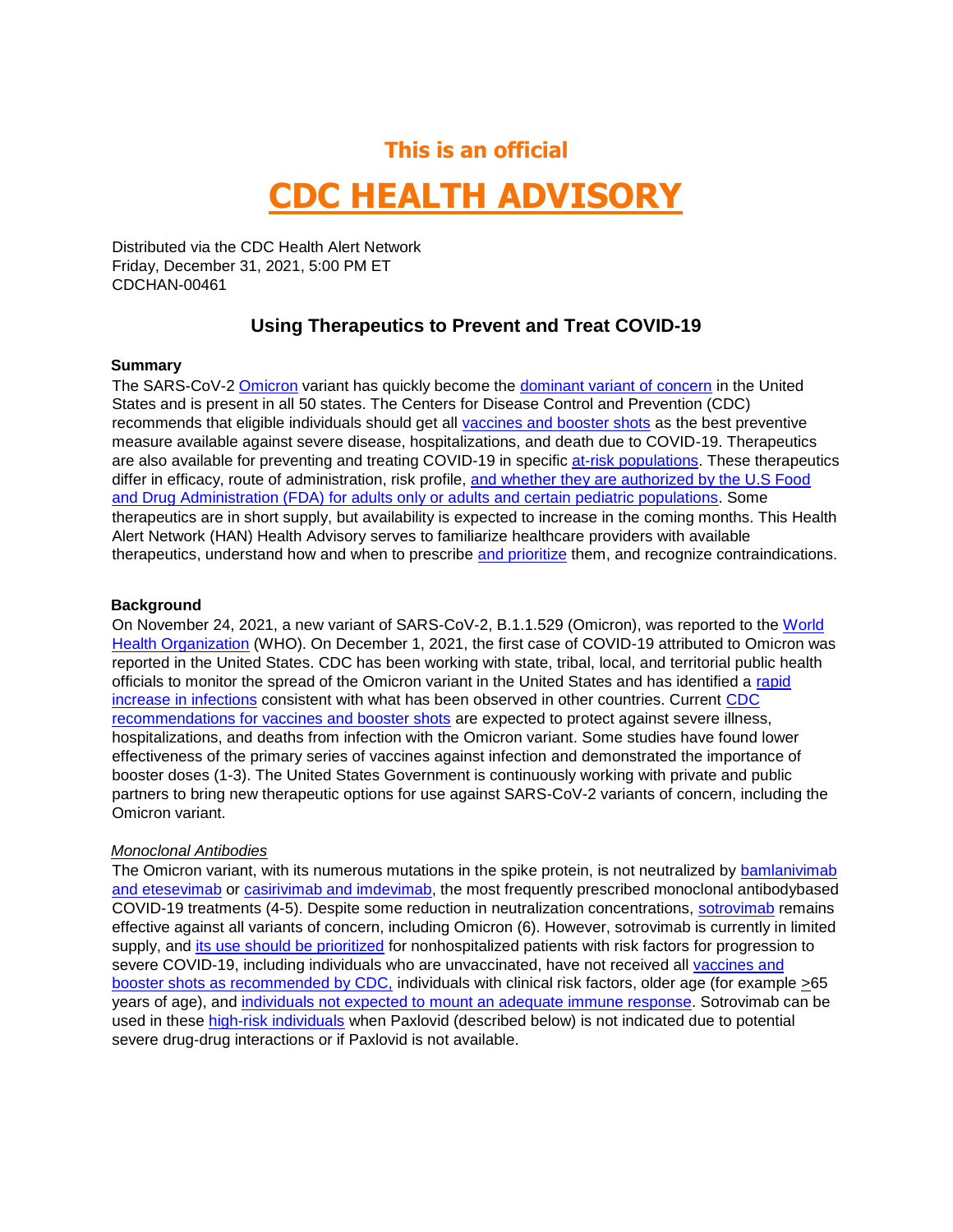# **This is an official CDC HEALTH ADVISORY**

Distributed via the CDC Health Alert Network Friday, December 31, 2021, 5:00 PM ET CDCHAN-00461

# **Using Therapeutics to Prevent and Treat COVID-19**

#### **Summary**

The SARS-CoV-2 [Omicron](https://www.cdc.gov/coronavirus/2019-ncov/variants/omicron-variant.html) [v](https://www.cdc.gov/coronavirus/2019-ncov/variants/omicron-variant.html)ariant has quickly become the [dominant variant of concern](https://covid.cdc.gov/covid-data-tracker/#variant-proportions) in the United States and is present in all 50 states. The Centers for Disease Control and Prevention (CDC) recommends that eligible individuals should get all [vaccines and booster shots](https://www.cdc.gov/vaccines/covid-19/clinical-considerations/covid-19-vaccines-us.html?CDC_AA_refVal=https%3A%2F%2Fwww.cdc.gov%2Fvaccines%2Fcovid-19%2Finfo-by-product%2Fclinical-considerations.html) as the best preventive measure available against severe disease, hospitalizations, and death due to COVID-19. Therapeutics are also available for preventing and treating COVID-19 in specific [at-risk populations.](https://www.cdc.gov/coronavirus/2019-ncov/hcp/clinical-care/underlyingconditions.html) These therapeutics differ in efficacy, route of administration, risk profile, [and whether they are authorized by the U.S Food](https://www.fda.gov/emergency-preparedness-and-response/mcm-legal-regulatory-and-policy-framework/emergency-use-authorization#coviddrugs) [and Drug Administration \(FDA\) for adults only or adults and certain pediatric populations.](https://www.fda.gov/emergency-preparedness-and-response/mcm-legal-regulatory-and-policy-framework/emergency-use-authorization#coviddrugs) Some therapeutics are in short supply, but availability is expected to increase in the coming months. This Health Alert Network (HAN) Health Advisory serves to familiarize healthcare providers with available therapeutics, understand how and when to prescribe [and prioritize](https://www.covid19treatmentguidelines.nih.gov/therapies/statement-on-patient-prioritization-for-outpatient-therapies/) them, and recognize contraindications.

#### **Background**

On November 24, 2021, a new variant of SARS-CoV-2, B.1.1.529 (Omicron), was reported to the [World](https://www.who.int/) [Health Organization](https://www.who.int/) (WHO). On December 1, 2021, the first case of COVID-19 attributed to Omicron was reported in the United States. CDC has been working with state, tribal, local, and territorial public health officials to monitor the spread of the Omicron variant in the United States and has identified a [rapid](https://covid.cdc.gov/covid-data-tracker/#variant-proportions) [increase in infections](https://covid.cdc.gov/covid-data-tracker/#variant-proportions) consistent with what has been observed in other countries. Current [CDC](https://www.cdc.gov/vaccines/covid-19/clinical-considerations/covid-19-vaccines-us.html?CDC_AA_refVal=https%3A%2F%2Fwww.cdc.gov%2Fvaccines%2Fcovid-19%2Finfo-by-product%2Fclinical-considerations.html) [recommendations for vaccines and booster shots](https://www.cdc.gov/vaccines/covid-19/clinical-considerations/covid-19-vaccines-us.html?CDC_AA_refVal=https%3A%2F%2Fwww.cdc.gov%2Fvaccines%2Fcovid-19%2Finfo-by-product%2Fclinical-considerations.html) [a](https://www.cdc.gov/vaccines/covid-19/clinical-considerations/covid-19-vaccines-us.html?CDC_AA_refVal=https%3A%2F%2Fwww.cdc.gov%2Fvaccines%2Fcovid-19%2Finfo-by-product%2Fclinical-considerations.html)re expected to protect against severe illness, hospitalizations, and deaths from infection with the Omicron variant. Some studies have found lower effectiveness of the primary series of vaccines against infection and demonstrated the importance of booster doses (1-3). The United States Government is continuously working with private and public partners to bring new therapeutic options for use against SARS-CoV-2 variants of concern, including the Omicron variant.

## *Monoclonal Antibodies*

The Omicron variant, with its numerous mutations in the spike protein, is not neutralized by [bamlanivimab](https://www.fda.gov/media/145802/download) [and etesevimab](https://www.fda.gov/media/145802/download) [o](https://www.fda.gov/media/145802/download)[r](https://www.fda.gov/media/145611/download) [casirivimab and imdevimab,](https://www.fda.gov/media/145611/download) the most frequently prescribed monoclonal antibodybased COVID-19 treatments (4-5). Despite some reduction in neutralization concentrations, [sotrovimab](https://www.fda.gov/media/149534/download) [r](https://www.fda.gov/media/149534/download)emains effective against all variants of concern, including Omicron (6). However, sotrovimab is currently in limited supply, and [its use should be prioritized](https://www.covid19treatmentguidelines.nih.gov/therapies/statement-on-patient-prioritization-for-outpatient-therapies/) [f](https://www.covid19treatmentguidelines.nih.gov/therapies/statement-on-patient-prioritization-for-outpatient-therapies/)or nonhospitalized patients with risk factors for progression to severe COVID-19, including individuals who are unvaccinated, have not received all [vaccines](https://www.cdc.gov/vaccines/covid-19/clinical-considerations/covid-19-vaccines-us.html?CDC_AA_refVal=https%3A%2F%2Fwww.cdc.gov%2Fvaccines%2Fcovid-19%2Finfo-by-product%2Fclinical-considerations.html) and [booster shots as recommended by CDC,](https://www.cdc.gov/vaccines/covid-19/clinical-considerations/covid-19-vaccines-us.html?CDC_AA_refVal=https%3A%2F%2Fwww.cdc.gov%2Fvaccines%2Fcovid-19%2Finfo-by-product%2Fclinical-considerations.html) [in](https://www.cdc.gov/vaccines/covid-19/clinical-considerations/covid-19-vaccines-us.html?CDC_AA_refVal=https%3A%2F%2Fwww.cdc.gov%2Fvaccines%2Fcovid-19%2Finfo-by-product%2Fclinical-considerations.html)dividuals with clinical risk factors, older age (for example >65 years of age), and [individuals not expected to mount an adequate immune response.](https://www.covid19treatmentguidelines.nih.gov/therapies/statement-on-patient-prioritization-for-outpatient-therapies/) Sotrovimab can be used in these [high-risk individuals](https://www.cdc.gov/coronavirus/2019-ncov/hcp/clinical-care/underlyingconditions.html) [w](https://www.cdc.gov/coronavirus/2019-ncov/hcp/clinical-care/underlyingconditions.html)hen Paxlovid (described below) is not indicated due to potential severe drug-drug interactions or if Paxlovid is not available.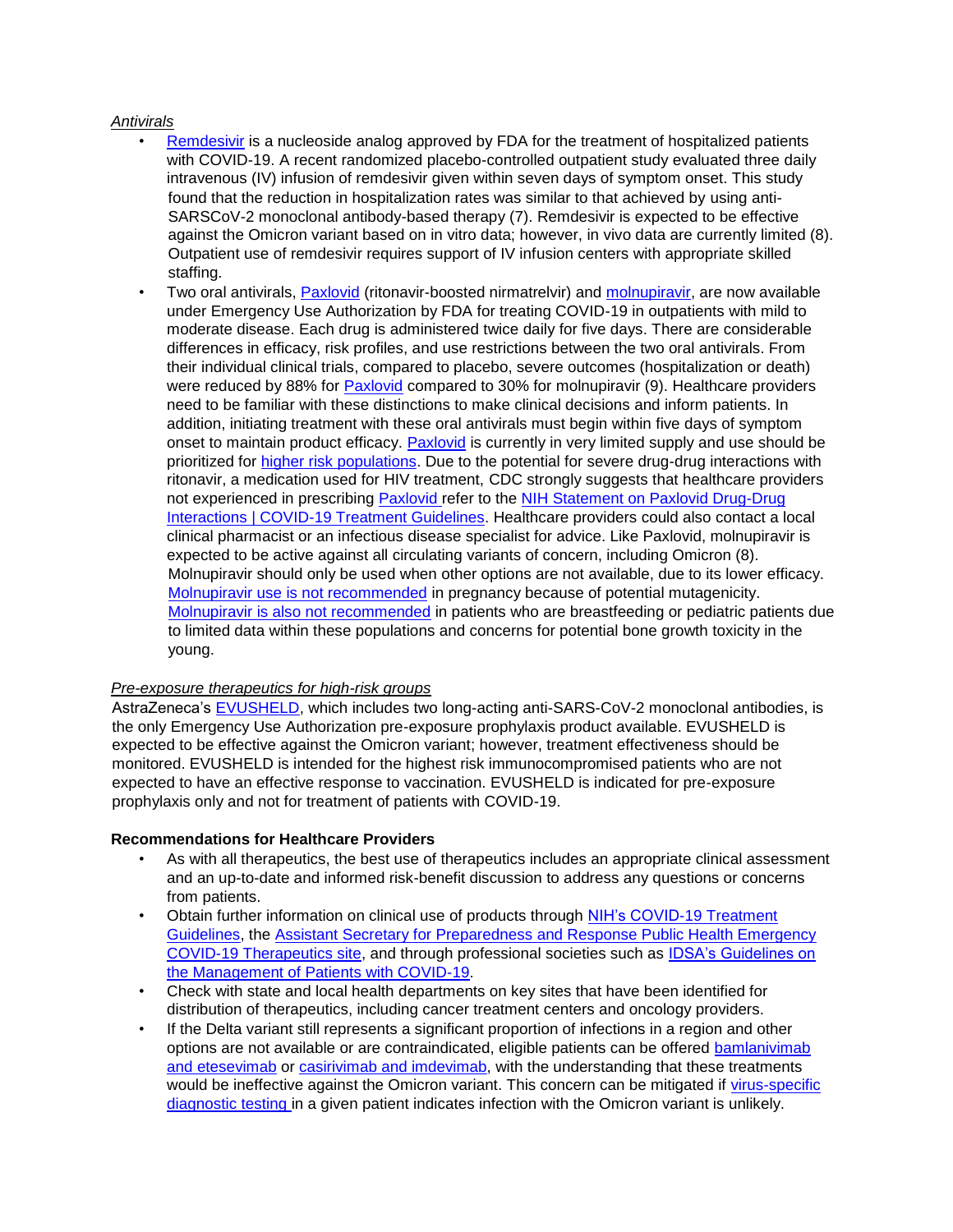#### *Antivirals*

- [Remdesivir](https://www.covid19treatmentguidelines.nih.gov/therapies/statement-on-therapies-for-high-risk-nonhospitalized-patients/) is a nucleoside analog approved by FDA for the treatment of hospitalized patients with COVID-19. A recent randomized placebo-controlled outpatient study evaluated three daily intravenous (IV) infusion of remdesivir given within seven days of symptom onset. This study found that the reduction in hospitalization rates was similar to that achieved by using anti-SARSCoV-2 monoclonal antibody-based therapy (7). Remdesivir is expected to be effective against the Omicron variant based on in vitro data; however, in vivo data are currently limited (8). Outpatient use of remdesivir requires support of IV infusion centers with appropriate skilled staffing.
- Two oral antivirals, [Paxlovid](https://www.fda.gov/media/155050/download) (ritonavir-boosted nirmatrelvir) and [molnupiravir,](https://www.fda.gov/media/155054/download) are now available under Emergency Use Authorization by FDA for treating COVID-19 in outpatients with mild to moderate disease. Each drug is administered twice daily for five days. There are considerable differences in efficacy, risk profiles, and use restrictions between the two oral antivirals. From their individual clinical trials, compared to placebo, severe outcomes (hospitalization or death) were reduced by 88% for [Paxlovid](https://www.fda.gov/media/155050/download) [c](https://www.fda.gov/media/155050/download)ompared to 30% for molnupiravir (9). Healthcare providers need to be familiar with these distinctions to make clinical decisions and inform patients. In addition, initiating treatment with these oral antivirals must begin within five days of symptom onset to maintain product efficacy. [Paxlovid](https://www.fda.gov/media/155050/download) [is](https://www.fda.gov/media/155050/download) currently in very limited supply and use should be prioritized for [higher risk populations.](https://www.cdc.gov/coronavirus/2019-ncov/hcp/clinical-care/underlyingconditions.html) Due to the potential for severe drug-drug interactions with ritonavir, a medication used for HIV treatment, CDC strongly suggests that healthcare providers not experienced in prescribing [Paxlovid](https://www.fda.gov/media/155050/download) refer to the [NIH Statement on Paxlovid Drug-Drug](https://www.covid19treatmentguidelines.nih.gov/therapies/statement-on-paxlovid-drug-drug-interactions/) [Interactions | COVID-19 Treatment Guidelines.](https://www.covid19treatmentguidelines.nih.gov/therapies/statement-on-paxlovid-drug-drug-interactions/) Healthcare providers could also contact a local clinical pharmacist or an infectious disease specialist for advice. Like Paxlovid, molnupiravir is expected to be active against all circulating variants of concern, including Omicron (8). Molnupiravir should only be used when other options are not available, due to its lower efficacy. [Molnupiravir use is not recommended](https://www.fda.gov/media/155054/download) in pregnancy because of potential mutagenicity. [Molnupiravir is also not recommended](https://www.fda.gov/media/155054/download) [in](https://www.fda.gov/media/155054/download) patients who are breastfeeding or pediatric patients due to limited data within these populations and concerns for potential bone growth toxicity in the young.

#### *Pre-exposure therapeutics for high-risk groups*

AstraZeneca's [EVUSHELD,](https://www.fda.gov/media/154701/download) which includes two long-acting anti-SARS-CoV-2 monoclonal antibodies, is the only Emergency Use Authorization pre-exposure prophylaxis product available. EVUSHELD is expected to be effective against the Omicron variant; however, treatment effectiveness should be monitored. EVUSHELD is intended for the highest risk immunocompromised patients who are not expected to have an effective response to vaccination. EVUSHELD is indicated for pre-exposure prophylaxis only and not for treatment of patients with COVID-19.

#### **Recommendations for Healthcare Providers**

- As with all therapeutics, the best use of therapeutics includes an appropriate clinical assessment and an up-to-date and informed risk-benefit discussion to address any questions or concerns from patients.
- Obtain further information on clinical use of products through [NIH's COVID-19 Treatment](https://www.covid19treatmentguidelines.nih.gov/) [Guidelines,](https://www.covid19treatmentguidelines.nih.gov/) the [Assistant Secretary for Preparedness and Response Public Health Emergency](https://www.phe.gov/emergency/events/COVID19/therapeutics/update-23Dec2021/Pages/default.aspx) [COVID-19 Therapeutics site,](https://www.phe.gov/emergency/events/COVID19/therapeutics/update-23Dec2021/Pages/default.aspx) and through professional societies such as [IDSA's Guidelines on](https://www.idsociety.org/practice-guideline/covid-19-guideline-treatment-and-management/) [the Management of Patients with COVID-19.](https://www.idsociety.org/practice-guideline/covid-19-guideline-treatment-and-management/)
- Check with state and local health departments on key sites that have been identified for distribution of therapeutics, including cancer treatment centers and oncology providers.
- If the Delta variant still represents a significant proportion of infections in a region and other options are not available or are contraindicated, eligible patients can be offered [bamlanivimab](https://www.fda.gov/media/145802/download) [and etesevimab](https://www.fda.gov/media/145802/download) [o](https://www.fda.gov/media/145802/download)r [casirivimab](https://www.fda.gov/media/145611/download) [and imdevimab,](https://www.fda.gov/media/145611/download) with the understanding that these treatments would be ineffective against the Omicron variant. This concern can be mitigated if [virus-specific](https://www.fda.gov/medical-devices/coronavirus-covid-19-and-medical-devices/sars-cov-2-viral-mutations-impact-covid-19-tests) [diagnostic testing in](https://www.fda.gov/medical-devices/coronavirus-covid-19-and-medical-devices/sars-cov-2-viral-mutations-impact-covid-19-tests) a given patient indicates infection with the Omicron variant is unlikely.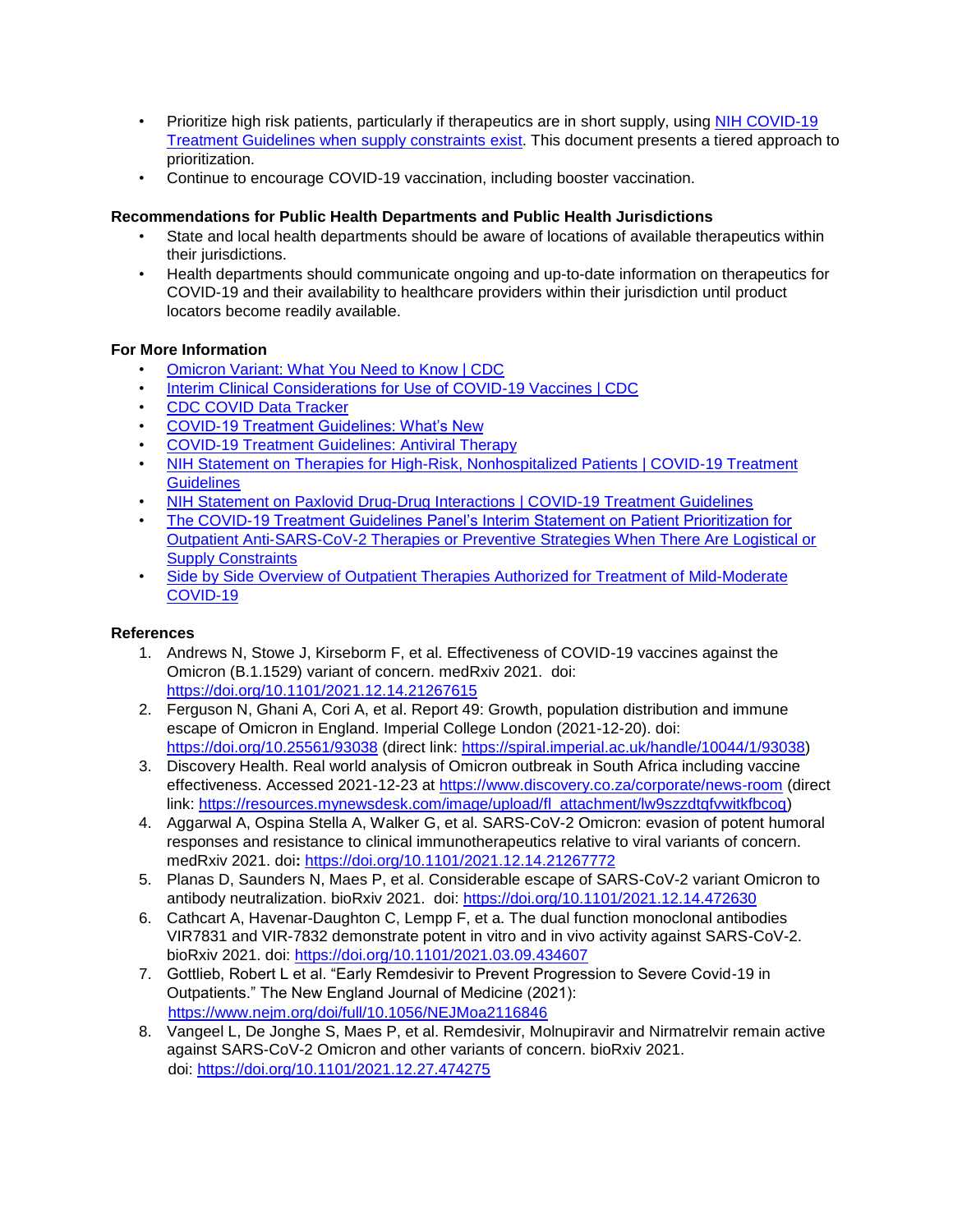- Prioritize high risk patients, particularly if therapeutics are in short supply, using [NIH COVID-19](https://www.covid19treatmentguidelines.nih.gov/therapies/statement-on-patient-prioritization-for-outpatient-therapies/) [Treatment Guidelines when supply constraints](https://www.covid19treatmentguidelines.nih.gov/therapies/statement-on-patient-prioritization-for-outpatient-therapies/) exis[t.](https://www.covid19treatmentguidelines.nih.gov/therapies/statement-on-patient-prioritization-for-outpatient-therapies/) This document presents a tiered approach to prioritization.
- Continue to encourage COVID-19 vaccination, including booster vaccination.

# **Recommendations for Public Health Departments and Public Health Jurisdictions**

- State and local health departments should be aware of locations of available therapeutics within their jurisdictions.
- Health departments should communicate ongoing and up-to-date information on therapeutics for COVID-19 and their availability to healthcare providers within their jurisdiction until product locators become readily available.

# **For More Information**

- [Omicron Variant: What You Need to Know | CDC](https://www.cdc.gov/coronavirus/2019-ncov/variants/omicron-variant.html)
- [Interim Clinical Considerations for Use of COVID-19 Vaccines | CDC](https://www.cdc.gov/vaccines/covid-19/clinical-considerations/covid-19-vaccines-us.html)
- [CDC COVID Data Tracker](https://covid.cdc.gov/covid-data-tracker/#variant-proportions)
- [COVID-19 Treatment Guidelines: What's New](https://www.covid19treatmentguidelines.nih.gov/about-the-guidelines/whats-new/)
- [COVID-19 Treatment Guidelines: Antiviral Therapy](https://www.covid19treatmentguidelines.nih.gov/therapies/antiviral-therapy/)
- [NIH Statement on Therapies for High-Risk, Nonhospitalized Patients | COVID-19 Treatment](https://www.covid19treatmentguidelines.nih.gov/therapies/statement-on-therapies-for-high-risk-nonhospitalized-patients/) **[Guidelines](https://www.covid19treatmentguidelines.nih.gov/therapies/statement-on-therapies-for-high-risk-nonhospitalized-patients/)**
- [NIH Statement on Paxlovid Drug-Drug Interactions | COVID-19 Treatment Guidelines](https://www.covid19treatmentguidelines.nih.gov/therapies/statement-on-paxlovid-drug-drug-interactions/)
- [The COVID-19 Treatment Guidelines Panel's Interim Statement on Patient Prioritization for](https://www.covid19treatmentguidelines.nih.gov/therapies/statement-on-patient-prioritization-for-outpatient-therapies/) [Outpatient Anti-SARS-CoV-2 Therapies or Preventive Strategies When There Are Logistical or](https://www.covid19treatmentguidelines.nih.gov/therapies/statement-on-patient-prioritization-for-outpatient-therapies/) [Supply Constraints](https://www.covid19treatmentguidelines.nih.gov/therapies/statement-on-patient-prioritization-for-outpatient-therapies/)
- [Side by Side Overview of Outpatient Therapies Authorized for Treatment of Mild-Moderate](https://www.phe.gov/emergency/events/COVID19/therapeutics/Pages/Side-by-Side-Overview-of-mAbs-Treatment.aspx) [COVID-19](https://www.phe.gov/emergency/events/COVID19/therapeutics/Pages/Side-by-Side-Overview-of-mAbs-Treatment.aspx)

## **References**

- 1. Andrews N, Stowe J, Kirseborm F, et al. Effectiveness of COVID-19 vaccines against the Omicron (B.1.1529) variant of concern. medRxiv 2021. doi: <https://doi.org/10.1101/2021.12.14.21267615>
- 2. Ferguson N, Ghani A, Cori A, et al. Report 49: Growth, population distribution and immune escape of Omicron in England. Imperial College London (2021-12-20). doi: <https://doi.org/10.25561/93038> [\(](https://doi.org/10.25561/93038)direct link: [https://spiral.imperial.ac.uk/handle/10044/1/93038\)](https://spiral.imperial.ac.uk/handle/10044/1/93038)
- 3. Discovery Health. Real world analysis of Omicron outbreak in South Africa including vaccine effectiveness. Accessed 2021-12-23 at<https://www.discovery.co.za/corporate/news-room> (direct link: [https://resources.mynewsdesk.com/image/upload/fl\\_attachment/lw9szzdtqfvwitkfbcoq\)](https://resources.mynewsdesk.com/image/upload/fl_attachment/lw9szzdtqfvwitkfbcoq)
- 4. Aggarwal A, Ospina Stella A, Walker G, et al. SARS-CoV-2 Omicron: evasion of potent humoral responses and resistance to clinical immunotherapeutics relative to viral variants of concern. medRxiv 2021. doi**[:](https://doi.org/10.1101/2021.12.14.21267772)** <https://doi.org/10.1101/2021.12.14.21267772>
- 5. Planas D, Saunders N, Maes P, et al. Considerable escape of SARS-CoV-2 variant Omicron to antibody neutralization. bioRxiv 2021. doi: <https://doi.org/10.1101/2021.12.14.472630>
- 6. Cathcart A, Havenar-Daughton C, Lempp F, et a. The dual function monoclonal antibodies VIR7831 and VIR-7832 demonstrate potent in vitro and in vivo activity against SARS-CoV-2. bioRxiv 2021. doi[:](https://doi.org/10.1101/2021.03.09.434607) <https://doi.org/10.1101/2021.03.09.434607>
- 7. Gottlieb, Robert L et al. "Early Remdesivir to Prevent Progression to Severe Covid-19 in Outpatients." The New England Journal of Medicine (2021): <https://www.nejm.org/doi/full/10.1056/NEJMoa2116846>
- 8. Vangeel L, De Jonghe S, Maes P, et al. Remdesivir, Molnupiravir and Nirmatrelvir remain active against SARS-CoV-2 Omicron and other variants of concern. bioRxiv 2021. doi: <https://doi.org/10.1101/2021.12.27.474275>